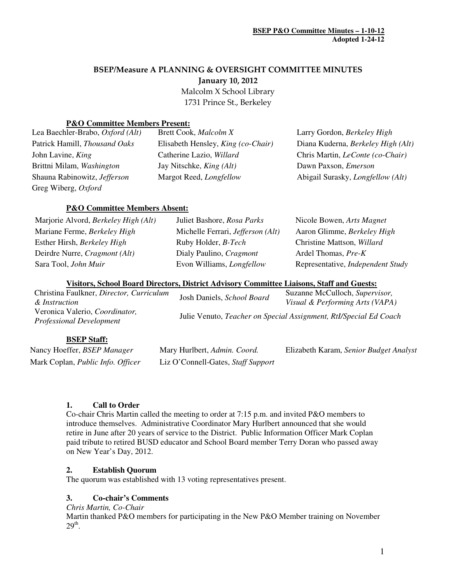# BSEP/Measure A PLANNING & OVERSIGHT COMMITTEE MINUTES

January 10, 2012

 Malcolm X School Library 1731 Prince St., Berkeley

# **P&O Committee Members Present:**

| Lea Baechler-Brabo, Oxford (Alt) | Brett Cook, Malcolm X              | Larry Gordon, Berkeley High              |
|----------------------------------|------------------------------------|------------------------------------------|
| Patrick Hamill, Thousand Oaks    | Elisabeth Hensley, King (co-Chair) | Diana Kuderna, Berkeley High (Alt)       |
| John Lavine, <i>King</i>         | Catherine Lazio, Willard           | Chris Martin, <i>LeConte</i> (co-Chair)  |
| Brittni Milam, Washington        | Jay Nitschke, <i>King (Alt)</i>    | Dawn Paxson, <i>Emerson</i>              |
| Shauna Rabinowitz, Jefferson     | Margot Reed, <i>Longfellow</i>     | Abigail Surasky, <i>Longfellow</i> (Alt) |
| Greg Wiberg, Oxford              |                                    |                                          |

# **P&O Committee Members Absent:**

| Marjorie Alvord, Berkeley High (Alt) | Juliet Bashore, Rosa Parks        | Nicole Bowen, Arts Magnet         |
|--------------------------------------|-----------------------------------|-----------------------------------|
| Mariane Ferme, Berkeley High         | Michelle Ferrari, Jefferson (Alt) | Aaron Glimme, Berkeley High       |
| Esther Hirsh, Berkeley High          | Ruby Holder, <i>B-Tech</i>        | Christine Mattson, Willard        |
| Deirdre Nurre, Cragmont (Alt)        | Dialy Paulino, Cragmont           | Ardel Thomas, Pre-K               |
| Sara Tool, John Muir                 | Evon Williams, <i>Longfellow</i>  | Representative, Independent Study |
|                                      |                                   |                                   |

### **Visitors, School Board Directors, District Advisory Committee Liaisons, Staff and Guests:**

| Christina Faulkner, Director, Curriculum<br>& Instruction         | Josh Daniels, School Board | Suzanne McCulloch, Supervisor,<br>Visual & Performing Arts (VAPA) |
|-------------------------------------------------------------------|----------------------------|-------------------------------------------------------------------|
| Veronica Valerio, Coordinator,<br><b>Professional Development</b> |                            | Julie Venuto, Teacher on Special Assignment, RtI/Special Ed Coach |

# **BSEP Staff:**

| Nancy Hoeffer, BSEP Manager       | Mary Hurlbert, Admin. Coord.       | Elizabeth Karam, Senior Budget Analyst |
|-----------------------------------|------------------------------------|----------------------------------------|
| Mark Coplan, Public Info. Officer | Liz O'Connell-Gates, Staff Support |                                        |

# **1. Call to Order**

Co-chair Chris Martin called the meeting to order at 7:15 p.m. and invited P&O members to introduce themselves. Administrative Coordinator Mary Hurlbert announced that she would retire in June after 20 years of service to the District. Public Information Officer Mark Coplan paid tribute to retired BUSD educator and School Board member Terry Doran who passed away on New Year's Day, 2012.

# **2. Establish Quorum**

The quorum was established with 13 voting representatives present.

# **3. Co-chair's Comments**

*Chris Martin, Co-Chair*

Martin thanked P&O members for participating in the New P&O Member training on November  $29<sup>th</sup>$ .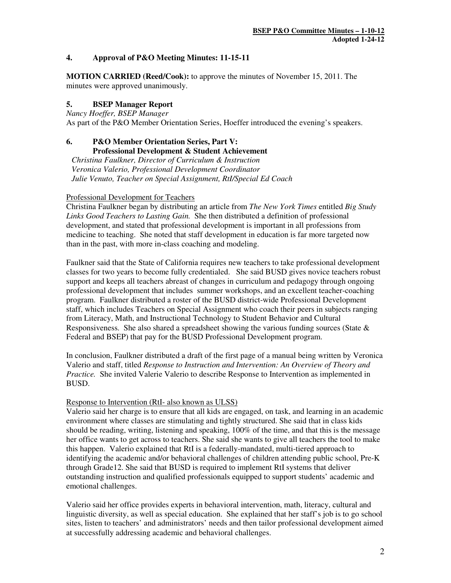### **4. Approval of P&O Meeting Minutes: 11-15-11**

**MOTION CARRIED (Reed/Cook):** to approve the minutes of November 15, 2011. The minutes were approved unanimously.

## **5. BSEP Manager Report**

*Nancy Hoeffer, BSEP Manager* As part of the P&O Member Orientation Series, Hoeffer introduced the evening's speakers.

#### **6. P&O Member Orientation Series, Part V: Professional Development & Student Achievement**

*Christina Faulkner, Director of Curriculum & Instruction Veronica Valerio, Professional Development Coordinator Julie Venuto, Teacher on Special Assignment, RtI/Special Ed Coach* 

### Professional Development for Teachers

Christina Faulkner began by distributing an article from *The New York Times* entitled *Big Study Links Good Teachers to Lasting Gain.* She then distributed a definition of professional development, and stated that professional development is important in all professions from medicine to teaching. She noted that staff development in education is far more targeted now than in the past, with more in-class coaching and modeling.

Faulkner said that the State of California requires new teachers to take professional development classes for two years to become fully credentialed. She said BUSD gives novice teachers robust support and keeps all teachers abreast of changes in curriculum and pedagogy through ongoing professional development that includes summer workshops, and an excellent teacher-coaching program. Faulkner distributed a roster of the BUSD district-wide Professional Development staff, which includes Teachers on Special Assignment who coach their peers in subjects ranging from Literacy, Math, and Instructional Technology to Student Behavior and Cultural Responsiveness. She also shared a spreadsheet showing the various funding sources (State  $\&$ Federal and BSEP) that pay for the BUSD Professional Development program.

In conclusion, Faulkner distributed a draft of the first page of a manual being written by Veronica Valerio and staff, titled *Response to Instruction and Intervention: An Overview of Theory and Practice.* She invited Valerie Valerio to describe Response to Intervention as implemented in BUSD.

#### Response to Intervention (RtI- also known as ULSS)

Valerio said her charge is to ensure that all kids are engaged, on task, and learning in an academic environment where classes are stimulating and tightly structured. She said that in class kids should be reading, writing, listening and speaking, 100% of the time, and that this is the message her office wants to get across to teachers. She said she wants to give all teachers the tool to make this happen. Valerio explained that RtI is a federally-mandated, multi-tiered approach to identifying the academic and/or behavioral challenges of children attending public school, Pre-K through Grade12. She said that BUSD is required to implement RtI systems that deliver outstanding instruction and qualified professionals equipped to support students' academic and emotional challenges.

Valerio said her office provides experts in behavioral intervention, math, literacy, cultural and linguistic diversity, as well as special education. She explained that her staff's job is to go school sites, listen to teachers' and administrators' needs and then tailor professional development aimed at successfully addressing academic and behavioral challenges.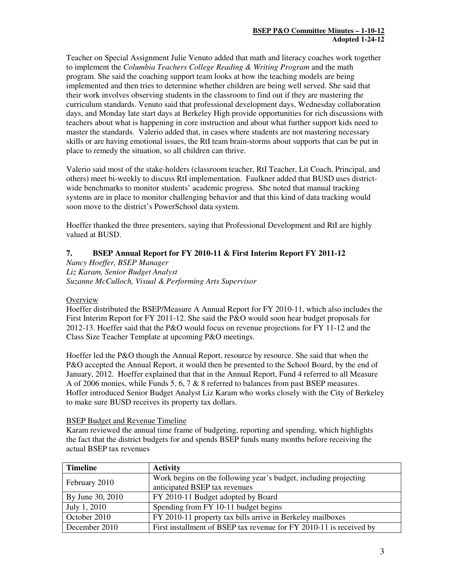Teacher on Special Assignment Julie Venuto added that math and literacy coaches work together to implement the *Columbia Teachers College Reading & Writing Program* and the math program. She said the coaching support team looks at how the teaching models are being implemented and then tries to determine whether children are being well served. She said that their work involves observing students in the classroom to find out if they are mastering the curriculum standards. Venuto said that professional development days, Wednesday collaboration days, and Monday late start days at Berkeley High provide opportunities for rich discussions with teachers about what is happening in core instruction and about what further support kids need to master the standards. Valerio added that, in cases where students are not mastering necessary skills or are having emotional issues, the RtI team brain-storms about supports that can be put in place to remedy the situation, so all children can thrive.

Valerio said most of the stake-holders (classroom teacher, RtI Teacher, Lit Coach, Principal, and others) meet bi-weekly to discuss RtI implementation. Faulkner added that BUSD uses districtwide benchmarks to monitor students' academic progress. She noted that manual tracking systems are in place to monitor challenging behavior and that this kind of data tracking would soon move to the district's PowerSchool data system.

Hoeffer thanked the three presenters, saying that Professional Development and RtI are highly valued at BUSD.

# **7. BSEP Annual Report for FY 2010-11 & First Interim Report FY 2011-12**

*Nancy Hoeffer, BSEP Manager Liz Karam, Senior Budget Analyst Suzanne McCulloch, Visual & Performing Arts Supervisor* 

# **Overview**

Hoeffer distributed the BSEP/Measure A Annual Report for FY 2010-11, which also includes the First Interim Report for FY 2011-12. She said the P&O would soon hear budget proposals for 2012-13. Hoeffer said that the P&O would focus on revenue projections for FY 11-12 and the Class Size Teacher Template at upcoming P&O meetings.

Hoeffer led the P&O though the Annual Report, resource by resource. She said that when the P&O accepted the Annual Report, it would then be presented to the School Board, by the end of January, 2012. Hoeffer explained that that in the Annual Report, Fund 4 referred to all Measure A of 2006 monies, while Funds 5, 6, 7 & 8 referred to balances from past BSEP measures. Hoffer introduced Senior Budget Analyst Liz Karam who works closely with the City of Berkeley to make sure BUSD receives its property tax dollars.

#### BSEP Budget and Revenue Timeline

Karam reviewed the annual time frame of budgeting, reporting and spending, which highlights the fact that the district budgets for and spends BSEP funds many months before receiving the actual BSEP tax revenues

| <b>Timeline</b>  | <b>Activity</b>                                                     |
|------------------|---------------------------------------------------------------------|
| February 2010    | Work begins on the following year's budget, including projecting    |
|                  | anticipated BSEP tax revenues                                       |
| By June 30, 2010 | FY 2010-11 Budget adopted by Board                                  |
| July 1, 2010     | Spending from FY 10-11 budget begins                                |
| October 2010     | FY 2010-11 property tax bills arrive in Berkeley mailboxes          |
| December 2010    | First installment of BSEP tax revenue for FY 2010-11 is received by |